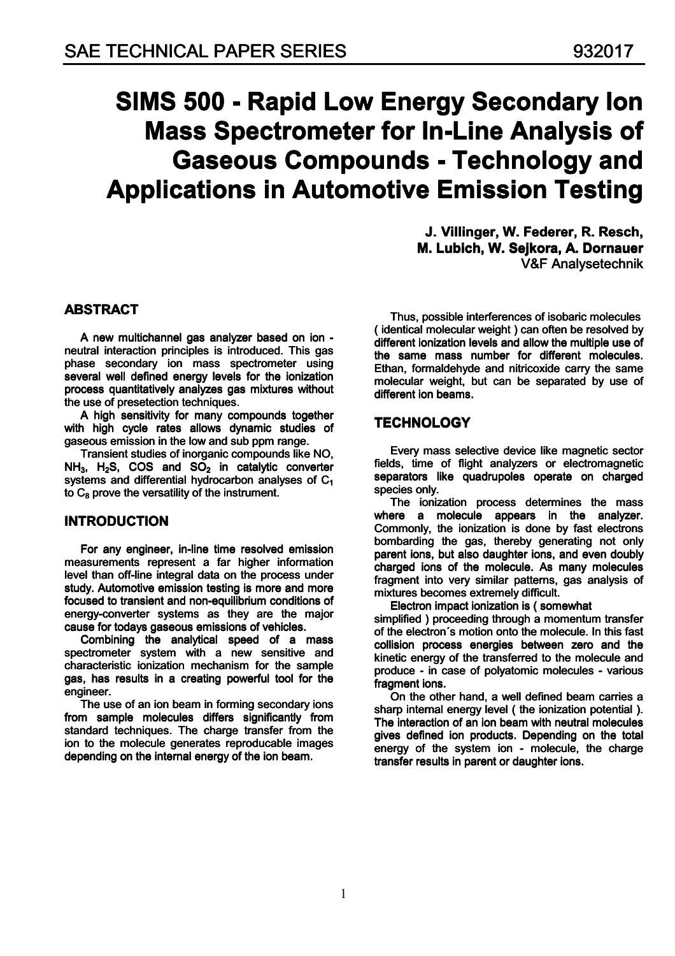# **SIMS 500 - Rapid Low Energy Secondary Ion Mass Spectrometer for In-Line Analysis of Gaseous Compounds - Technology and Applications in Automotive Emission Testing**

J. Villinger. W. Federer. R. Resch. M. Lubich. W. Seikora. A. Dornauer V&F Analysetechnik

# **ABSTRACT**

A new multichannel gas analyzer based on ion neutral interaction principles is introduced. This gas phase secondary ion mass spectrometer using several well defined energy levels for the ionization process quantitatively analyzes gas mixtures without the use of presetection techniques.

A high sensitivity for many compounds together with high cycle rates allows dynamic studies of gaseous emission in the low and sub ppm range.

Transient studies of inorganic compounds like NO.  $NH_3$ , H<sub>2</sub>S, COS and SO<sub>2</sub> in catalytic converter systems and differential hydrocarbon analyses of  $C_1$ to  $C_8$  prove the versatility of the instrument.

# **INTRODUCTION**

For any engineer, in-line time resolved emission measurements represent a far higher information level than off-line integral data on the process under study. Automotive emission testing is more and more focused to transient and non-equilibrium conditions of energy-converter systems as they are the major cause for todays gaseous emissions of vehicles.

Combining the analytical speed of a mass spectrometer system with a new sensitive and characteristic ionization mechanism for the sample gas, has results in a creating powerful tool for the engineer.

The use of an ion beam in forming secondary ions from sample molecules differs significantly from standard techniques. The charge transfer from the ion to the molecule generates reproducable images depending on the internal energy of the ion beam.

Thus, possible interferences of isobaric molecules (identical molecular weight) can often be resolved by different ionization levels and allow the multiple use of the same mass number for different molecules. Ethan, formaldehyde and nitricoxide carry the same molecular weight, but can be separated by use of different ion beams.

# **TECHNOLOGY**

Every mass selective device like magnetic sector fields, time of flight analyzers or electromagnetic separators like quadrupoles operate on charged species only.

The ionization process determines the mass where a molecule appears in the analyzer. Commonly, the ionization is done by fast electrons bombarding the gas, thereby generating not only parent ions, but also daughter ions, and even doubly charged ions of the molecule. As many molecules fragment into very similar patterns, gas analysis of mixtures becomes extremely difficult.

Electron impact ionization is (somewhat

simplified) proceeding through a momentum transfer of the electron's motion onto the molecule. In this fast collision process energies between zero and the kinetic energy of the transferred to the molecule and produce - in case of polyatomic molecules - various fragment ions.

On the other hand, a well defined beam carries a sharp internal energy level (the ionization potential). The interaction of an ion beam with neutral molecules gives defined ion products. Depending on the total energy of the system ion - molecule, the charge transfer results in parent or daughter ions.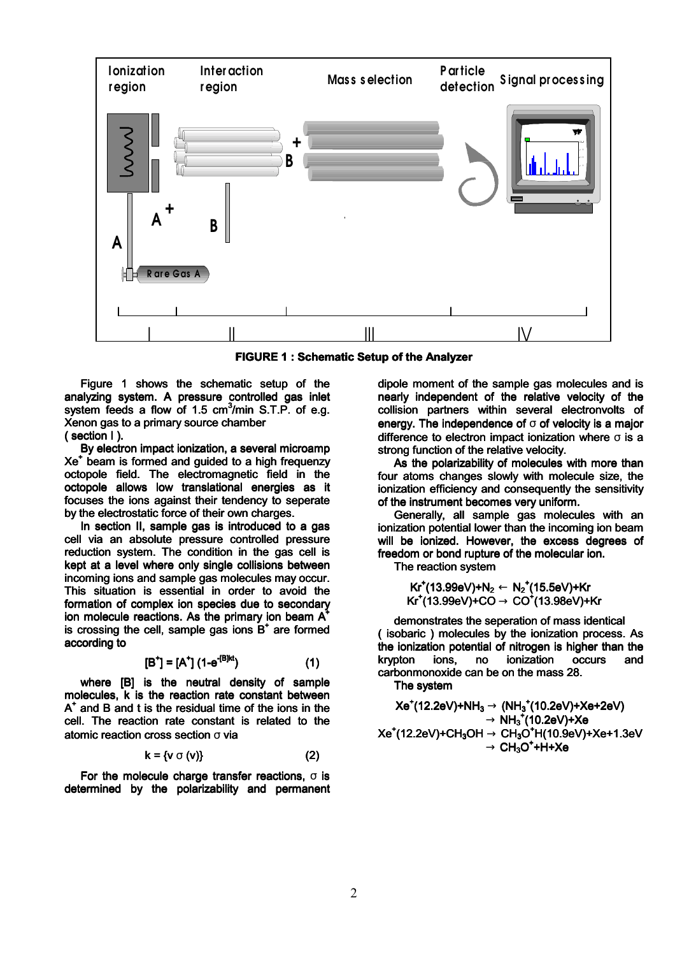

**FIGURE 1: Schematic Setup of the Analyzer** 

Figure 1 shows the schematic setup of the analyzing system. A pressure controlled gas inlet system feeds a flow of 1.5 cm<sup>3</sup>/min S.T.P. of e.g. Xenon gas to a primary source chamber  $(section 1).$ 

By electron impact ionization, a several microamp Xe<sup>+</sup> beam is formed and guided to a high frequenzy octopole field. The electromagnetic field in the octopole allows low translational energies as it focuses the ions against their tendency to seperate by the electrostatic force of their own charges.

In section II, sample gas is introduced to a gas cell via an absolute pressure controlled pressure reduction system. The condition in the gas cell is kept at a level where only single collisions between incoming ions and sample gas molecules may occur. This situation is essential in order to avoid the formation of complex ion species due to secondary ion molecule reactions. As the primary ion beam A is crossing the cell, sample gas ions  $B^+$  are formed according to

$$
[B^+] = [A^+] (1 - e^{-[B]kt})
$$
 (1)

where [B] is the neutral density of sample molecules, k is the reaction rate constant between  $A^*$  and B and t is the residual time of the ions in the cell. The reaction rate constant is related to the atomic reaction cross section  $\sigma$  via

$$
x = \{v \circ (v)\}\tag{2}
$$

For the molecule charge transfer reactions,  $\sigma$  is determined by the polarizability and permanent dipole moment of the sample gas molecules and is nearly independent of the relative velocity of the collision partners within several electronvolts of energy. The independence of  $\sigma$  of velocity is a maior difference to electron impact ionization where  $\sigma$  is a strong function of the relative velocity.

As the polarizability of molecules with more than four atoms changes slowly with molecule size, the ionization efficiency and consequently the sensitivity of the instrument becomes very uniform.

Generally, all sample gas molecules with an ionization potential lower than the incoming ion beam will be ionized. However, the excess degrees of freedom or bond rupture of the molecular ion.

The reaction system

 $Kr^+(13.99eV)+N_2 \leftarrow N_2^+(15.5eV)+Kr$  $Kr^+(13.99eV)+CO \rightarrow CO^+(13.98eV)+Kr$ 

demonstrates the seperation of mass identical (isobaric) molecules by the ionization process. As the ionization potential of nitrogen is higher than the krypton ions. no ionization **occurs** and carbonmonoxide can be on the mass 28.

The system

$$
\begin{aligned} \mathsf{Xe}^{\texttt{+}}(\text{12.2eV})\text{+NH}_3 &\rightarrow (\text{NH}_3^{\texttt{+}}(\text{10.2eV})\text{+Xe+2eV})\\ &\rightarrow \text{NH}_3^{\texttt{+}}(\text{10.2eV})\text{+Xe}\\ \mathsf{Xe}^{\texttt{+}}(\text{12.2eV})\text{+CH}_3\text{OH} &\rightarrow \text{CH}_3\text{O}^{\texttt{+}}\text{H}(\text{10.9eV})\text{+Xe+1.3eV}\\ &\rightarrow \text{CH}_3\text{O}^{\texttt{+}}\text{H} \text{+Xe} \end{aligned}
$$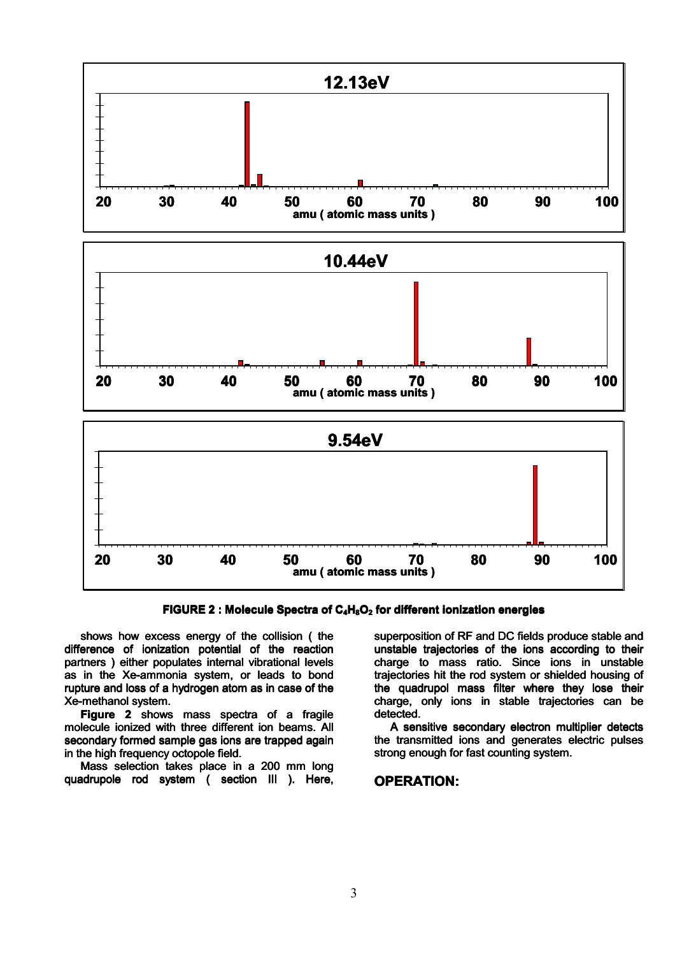

FIGURE 2 : Molecule Spectra of  $C_4H_8O_2$  for different ionization energies

shows how excess energy of the collision (the difference of ionization potential of the reaction partners) either populates internal vibrational levels as in the Xe-ammonia system, or leads to bond rupture and loss of a hydrogen atom as in case of the Xe-methanol system.

Figure 2 shows mass spectra of a fragile molecule ionized with three different ion beams. All secondary formed sample gas ions are trapped again in the high frequency octopole field.

Mass selection takes place in a 200 mm long quadrupole rod system ( section III ). Here, superposition of RF and DC fields produce stable and unstable trajectories of the ions according to their charge to mass ratio. Since ions in unstable trajectories hit the rod system or shielded housing of the quadrupol mass filter where they lose their charge, only ions in stable trajectories can be detected.

A sensitive secondary electron multiplier detects the transmitted ions and generates electric pulses strong enough for fast counting system.

#### **OPERATION:**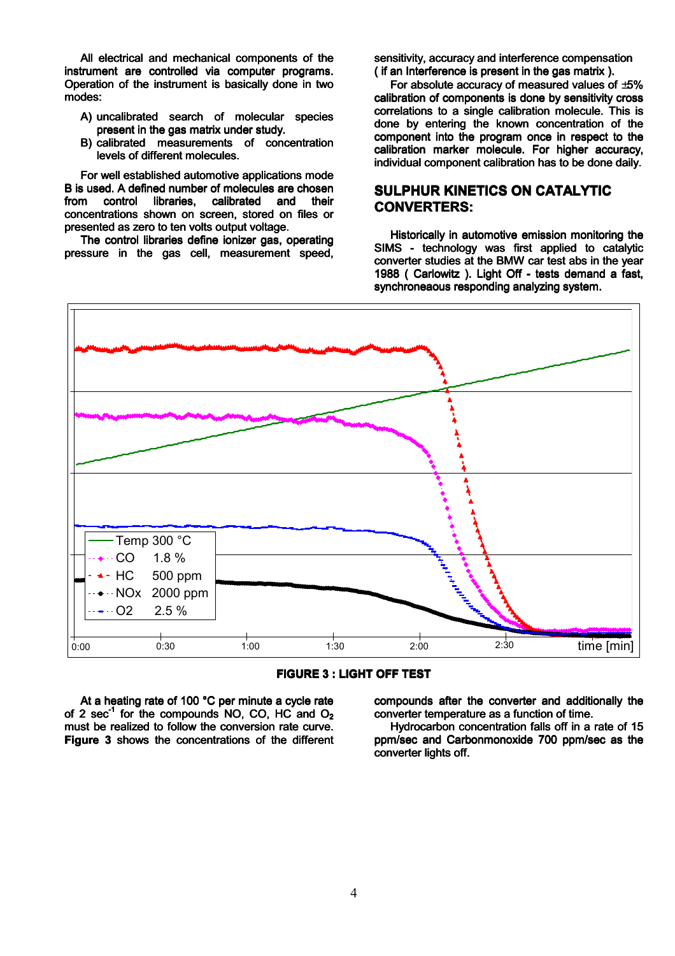All electrical and mechanical components of the instrument are controlled via computer programs. Operation of the instrument is basically done in two modes:

- A) uncalibrated search of molecular species present in the gas matrix under study.
- B) calibrated measurements of concentration levels of different molecules.

For well established automotive applications mode B is used. A defined number of molecules are chosen control and libraries. calibrated  $from$ their concentrations shown on screen. stored on files or presented as zero to ten volts output voltage.

The control libraries define ionizer gas, operating pressure in the gas cell, measurement speed, sensitivity, accuracy and interference compensation ( if an Interference is present in the gas matrix ).

For absolute accuracy of measured values of  $\pm 5\%$ calibration of components is done by sensitivity cross correlations to a single calibration molecule. This is done by entering the known concentration of the component into the program once in respect to the calibration marker molecule. For higher accuracy. individual component calibration has to be done daily.

# **SULPHUR KINETICS ON CATALYTIC CONVERTERS:**

Historically in automotive emission monitoring the SIMS - technology was first applied to catalytic converter studies at the BMW car test abs in the year 1988 ( Carlowitz ). Light Off - tests demand a fast. synchroneaous responding analyzing system.



**FIGURE 3: LIGHT OFF TEST** 

At a heating rate of 100 °C per minute a cycle rate of 2 sec<sup>-1</sup> for the compounds NO. CO. HC and  $O<sub>2</sub>$ must be realized to follow the conversion rate curve. Figure 3 shows the concentrations of the different compounds after the converter and additionally the converter temperature as a function of time.

Hydrocarbon concentration falls off in a rate of 15 ppm/sec and Carbonmonoxide 700 ppm/sec as the converter lights off.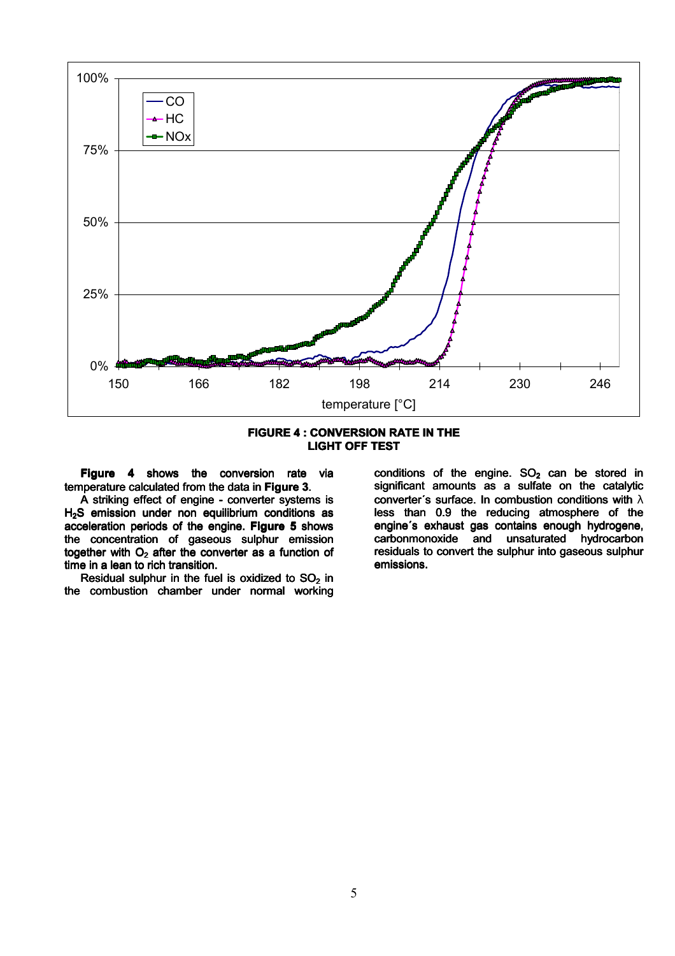



Figure 4 shows the conversion rate via temperature calculated from the data in Figure 3.

A striking effect of engine - converter systems is H<sub>2</sub>S emission under non equilibrium conditions as acceleration periods of the engine. Figure 5 shows the concentration of gaseous sulphur emission together with  $O_2$  after the converter as a function of time in a lean to rich transition.

Residual sulphur in the fuel is oxidized to SO<sub>2</sub> in the combustion chamber under normal working conditions of the engine.  $SO<sub>2</sub>$  can be stored in significant amounts as a sulfate on the catalytic converter's surface. In combustion conditions with  $\lambda$ less than 0.9 the reducing atmosphere of the engine's exhaust gas contains enough hydrogene, carbonmonoxide and unsaturated hydrocarbon residuals to convert the sulphur into gaseous sulphur emissions.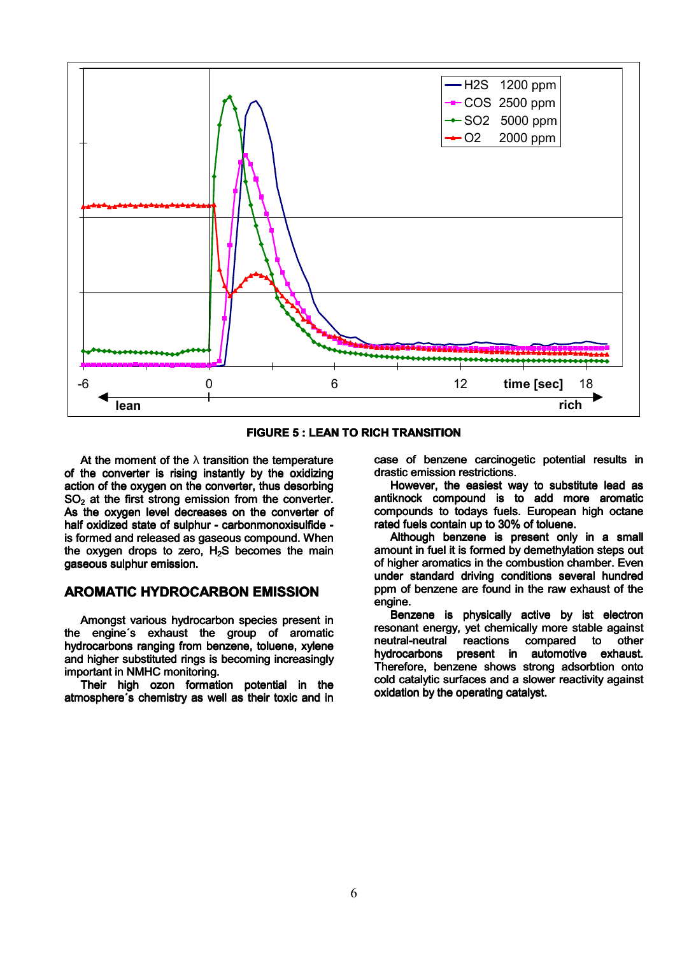

**FIGURE 5: LEAN TO RICH TRANSITION** 

At the moment of the  $\lambda$  transition the temperature of the converter is rising instantly by the oxidizing action of the oxygen on the converter, thus desorbing  $SO<sub>2</sub>$  at the first strong emission from the converter. As the oxygen level decreases on the converter of half oxidized state of sulphur - carbonmonoxisulfide is formed and released as gaseous compound. When the oxygen drops to zero, H<sub>2</sub>S becomes the main gaseous sulphur emission.

# **AROMATIC HYDROCARBON EMISSION**

Amongst various hydrocarbon species present in the engine's exhaust the group of aromatic hydrocarbons ranging from benzene, toluene, xylene and higher substituted rings is becoming increasingly important in NMHC monitoring.

Their high ozon formation potential in the atmosphere's chemistry as well as their toxic and in case of benzene carcinogetic potential results in drastic emission restrictions.

However, the easiest way to substitute lead as antiknock compound is to add more aromatic compounds to todays fuels. European high octane rated fuels contain up to 30% of toluene.

Although benzene is present only in a small amount in fuel it is formed by demethylation steps out of higher aromatics in the combustion chamber. Even under standard driving conditions several hundred ppm of benzene are found in the raw exhaust of the engine.

Benzene is physically active by ist electron resonant energy, yet chemically more stable against neutral-neutral reactions compared to other hydrocarbons present in automotive exhaust. Therefore, benzene shows strong adsorbtion onto cold catalytic surfaces and a slower reactivity against oxidation by the operating catalyst.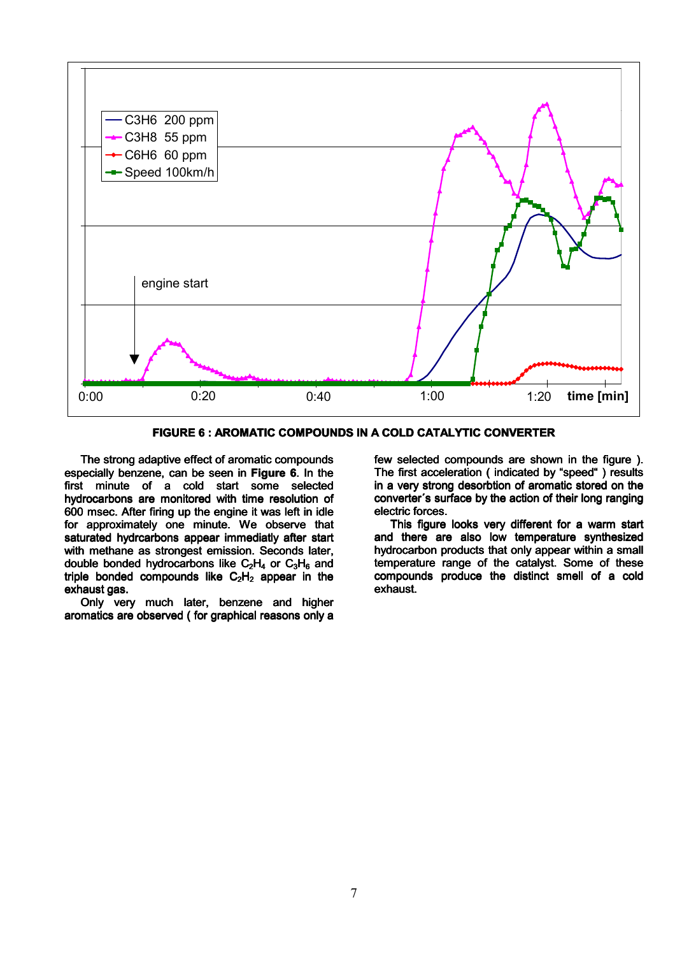

**FIGURE 6: AROMATIC COMPOUNDS IN A COLD CATALYTIC CONVERTER** 

The strong adaptive effect of aromatic compounds especially benzene, can be seen in Figure 6. In the first minute of a cold start some selected hydrocarbons are monitored with time resolution of 600 msec. After firing up the engine it was left in idle for approximately one minute. We observe that saturated hydrcarbons appear immediatly after start with methane as strongest emission. Seconds later, double bonded hydrocarbons like  $C_2H_4$  or  $C_3H_6$  and triple bonded compounds like  $C_2H_2$  appear in the exhaust gas.

Only very much later, benzene and higher aromatics are observed (for graphical reasons only a few selected compounds are shown in the figure). The first acceleration (indicated by "speed") results in a very strong desorbtion of aromatic stored on the converter's surface by the action of their long ranging electric forces.

This figure looks very different for a warm start and there are also low temperature synthesized hydrocarbon products that only appear within a small temperature range of the catalyst. Some of these compounds produce the distinct smell of a cold exhaust.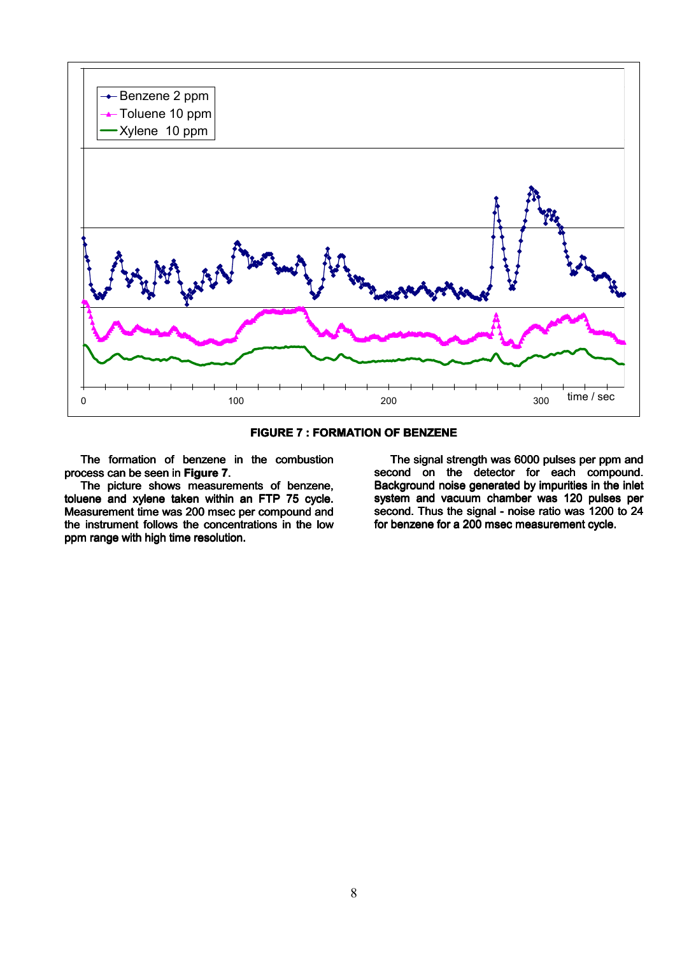



The formation of benzene in the combustion process can be seen in Figure 7.

The picture shows measurements of benzene, toluene and xylene taken within an FTP 75 cycle. Measurement time was 200 msec per compound and the instrument follows the concentrations in the low ppm range with high time resolution.

The signal strength was 6000 pulses per ppm and second on the detector for each compound. Background noise generated by impurities in the inlet system and vacuum chamber was 120 pulses per second. Thus the signal - noise ratio was 1200 to 24 for benzene for a 200 msec measurement cycle.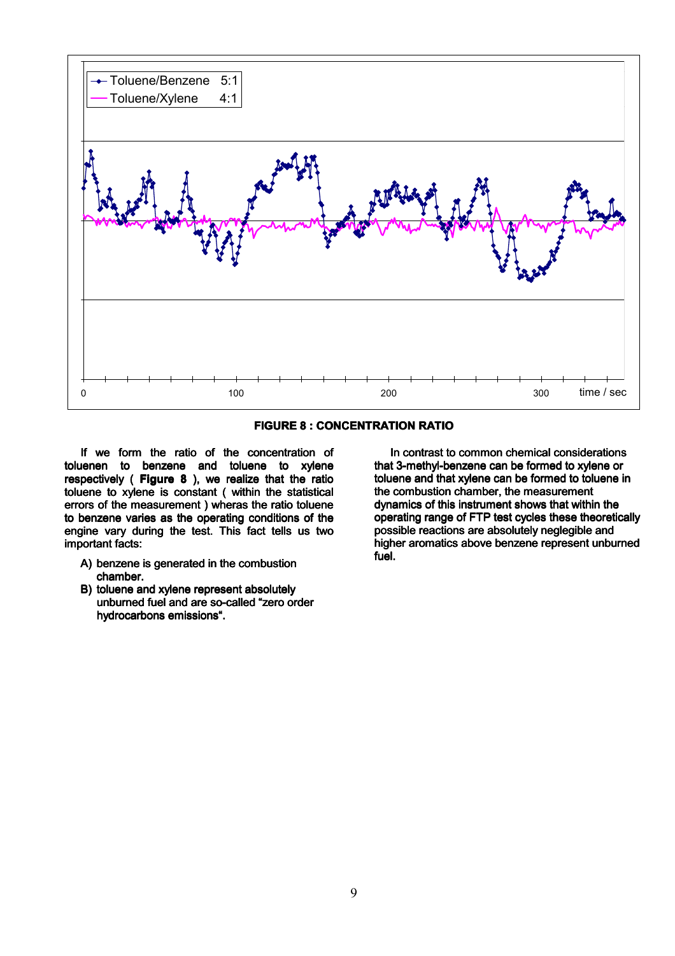



If we form the ratio of the concentration of toluenen to benzene and toluene to xylene respectively (Figure 8), we realize that the ratio toluene to xylene is constant ( within the statistical errors of the measurement) wheras the ratio toluene to benzene varies as the operating conditions of the engine vary during the test. This fact tells us two important facts:

- A) benzene is generated in the combustion chamber.
- B) toluene and xylene represent absolutely unburned fuel and are so-called "zero order hydrocarbons emissions".

In contrast to common chemical considerations that 3-methyl-benzene can be formed to xylene or toluene and that xylene can be formed to toluene in the combustion chamber, the measurement dynamics of this instrument shows that within the operating range of FTP test cycles these theoretically possible reactions are absolutely neglegible and higher aromatics above benzene represent unburned  $f_{\rm LIR}$